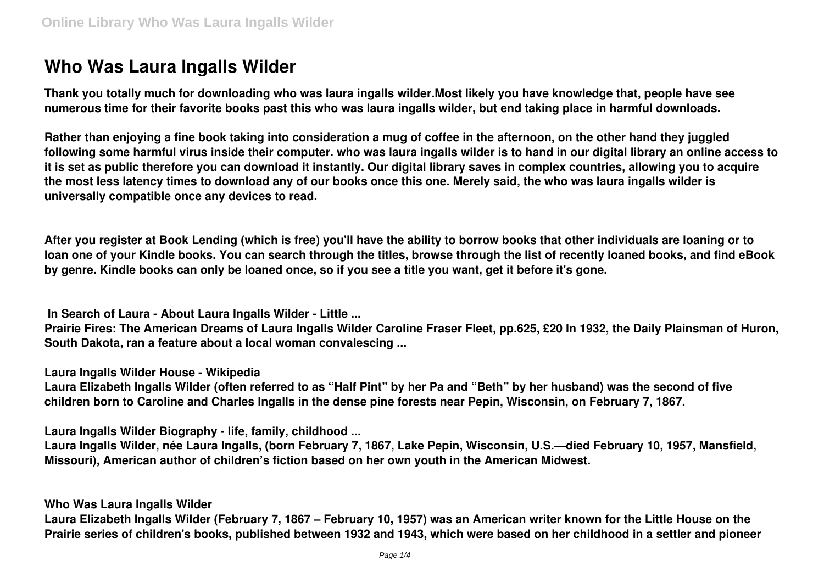# **Who Was Laura Ingalls Wilder**

**Thank you totally much for downloading who was laura ingalls wilder.Most likely you have knowledge that, people have see numerous time for their favorite books past this who was laura ingalls wilder, but end taking place in harmful downloads.**

**Rather than enjoying a fine book taking into consideration a mug of coffee in the afternoon, on the other hand they juggled following some harmful virus inside their computer. who was laura ingalls wilder is to hand in our digital library an online access to it is set as public therefore you can download it instantly. Our digital library saves in complex countries, allowing you to acquire the most less latency times to download any of our books once this one. Merely said, the who was laura ingalls wilder is universally compatible once any devices to read.**

**After you register at Book Lending (which is free) you'll have the ability to borrow books that other individuals are loaning or to loan one of your Kindle books. You can search through the titles, browse through the list of recently loaned books, and find eBook by genre. Kindle books can only be loaned once, so if you see a title you want, get it before it's gone.**

**In Search of Laura - About Laura Ingalls Wilder - Little ...**

**Prairie Fires: The American Dreams of Laura Ingalls Wilder Caroline Fraser Fleet, pp.625, £20 In 1932, the Daily Plainsman of Huron, South Dakota, ran a feature about a local woman convalescing ...**

**Laura Ingalls Wilder House - Wikipedia**

**Laura Elizabeth Ingalls Wilder (often referred to as "Half Pint" by her Pa and "Beth" by her husband) was the second of five children born to Caroline and Charles Ingalls in the dense pine forests near Pepin, Wisconsin, on February 7, 1867.**

**Laura Ingalls Wilder Biography - life, family, childhood ...**

**Laura Ingalls Wilder, née Laura Ingalls, (born February 7, 1867, Lake Pepin, Wisconsin, U.S.—died February 10, 1957, Mansfield, Missouri), American author of children's fiction based on her own youth in the American Midwest.**

# **Who Was Laura Ingalls Wilder**

**Laura Elizabeth Ingalls Wilder (February 7, 1867 – February 10, 1957) was an American writer known for the Little House on the Prairie series of children's books, published between 1932 and 1943, which were based on her childhood in a settler and pioneer**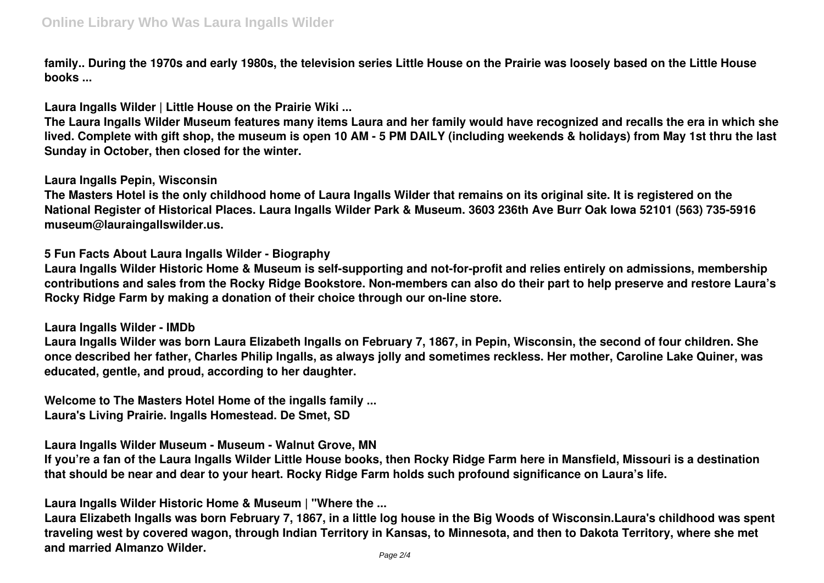**family.. During the 1970s and early 1980s, the television series Little House on the Prairie was loosely based on the Little House books ...**

**Laura Ingalls Wilder | Little House on the Prairie Wiki ...**

**The Laura Ingalls Wilder Museum features many items Laura and her family would have recognized and recalls the era in which she lived. Complete with gift shop, the museum is open 10 AM - 5 PM DAILY (including weekends & holidays) from May 1st thru the last Sunday in October, then closed for the winter.**

**Laura Ingalls Pepin, Wisconsin**

**The Masters Hotel is the only childhood home of Laura Ingalls Wilder that remains on its original site. It is registered on the National Register of Historical Places. Laura Ingalls Wilder Park & Museum. 3603 236th Ave Burr Oak Iowa 52101 (563) 735-5916 museum@lauraingallswilder.us.**

**5 Fun Facts About Laura Ingalls Wilder - Biography**

**Laura Ingalls Wilder Historic Home & Museum is self-supporting and not-for-profit and relies entirely on admissions, membership contributions and sales from the Rocky Ridge Bookstore. Non-members can also do their part to help preserve and restore Laura's Rocky Ridge Farm by making a donation of their choice through our on-line store.**

**Laura Ingalls Wilder - IMDb**

**Laura Ingalls Wilder was born Laura Elizabeth Ingalls on February 7, 1867, in Pepin, Wisconsin, the second of four children. She once described her father, Charles Philip Ingalls, as always jolly and sometimes reckless. Her mother, Caroline Lake Quiner, was educated, gentle, and proud, according to her daughter.**

**Welcome to The Masters Hotel Home of the ingalls family ... Laura's Living Prairie. Ingalls Homestead. De Smet, SD**

**Laura Ingalls Wilder Museum - Museum - Walnut Grove, MN**

**If you're a fan of the Laura Ingalls Wilder Little House books, then Rocky Ridge Farm here in Mansfield, Missouri is a destination that should be near and dear to your heart. Rocky Ridge Farm holds such profound significance on Laura's life.**

**Laura Ingalls Wilder Historic Home & Museum | "Where the ...**

**Laura Elizabeth Ingalls was born February 7, 1867, in a little log house in the Big Woods of Wisconsin.Laura's childhood was spent traveling west by covered wagon, through Indian Territory in Kansas, to Minnesota, and then to Dakota Territory, where she met and married Almanzo Wilder.**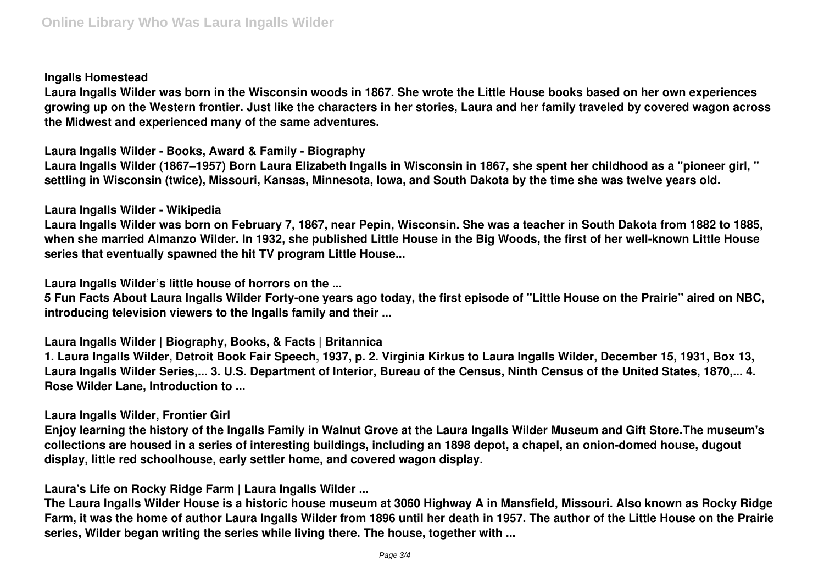### **Ingalls Homestead**

**Laura Ingalls Wilder was born in the Wisconsin woods in 1867. She wrote the Little House books based on her own experiences growing up on the Western frontier. Just like the characters in her stories, Laura and her family traveled by covered wagon across the Midwest and experienced many of the same adventures.**

**Laura Ingalls Wilder - Books, Award & Family - Biography**

**Laura Ingalls Wilder (1867–1957) Born Laura Elizabeth Ingalls in Wisconsin in 1867, she spent her childhood as a "pioneer girl, " settling in Wisconsin (twice), Missouri, Kansas, Minnesota, Iowa, and South Dakota by the time she was twelve years old.**

# **Laura Ingalls Wilder - Wikipedia**

**Laura Ingalls Wilder was born on February 7, 1867, near Pepin, Wisconsin. She was a teacher in South Dakota from 1882 to 1885, when she married Almanzo Wilder. In 1932, she published Little House in the Big Woods, the first of her well-known Little House series that eventually spawned the hit TV program Little House...**

**Laura Ingalls Wilder's little house of horrors on the ...**

**5 Fun Facts About Laura Ingalls Wilder Forty-one years ago today, the first episode of "Little House on the Prairie" aired on NBC, introducing television viewers to the Ingalls family and their ...**

**Laura Ingalls Wilder | Biography, Books, & Facts | Britannica**

**1. Laura Ingalls Wilder, Detroit Book Fair Speech, 1937, p. 2. Virginia Kirkus to Laura Ingalls Wilder, December 15, 1931, Box 13, Laura Ingalls Wilder Series,... 3. U.S. Department of Interior, Bureau of the Census, Ninth Census of the United States, 1870,... 4. Rose Wilder Lane, Introduction to ...**

# **Laura Ingalls Wilder, Frontier Girl**

**Enjoy learning the history of the Ingalls Family in Walnut Grove at the Laura Ingalls Wilder Museum and Gift Store.The museum's collections are housed in a series of interesting buildings, including an 1898 depot, a chapel, an onion-domed house, dugout display, little red schoolhouse, early settler home, and covered wagon display.**

**Laura's Life on Rocky Ridge Farm | Laura Ingalls Wilder ...**

**The Laura Ingalls Wilder House is a historic house museum at 3060 Highway A in Mansfield, Missouri. Also known as Rocky Ridge Farm, it was the home of author Laura Ingalls Wilder from 1896 until her death in 1957. The author of the Little House on the Prairie series, Wilder began writing the series while living there. The house, together with ...**